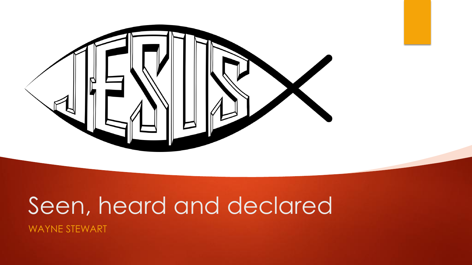

## Seen, heard and declared

WAYNE STEWART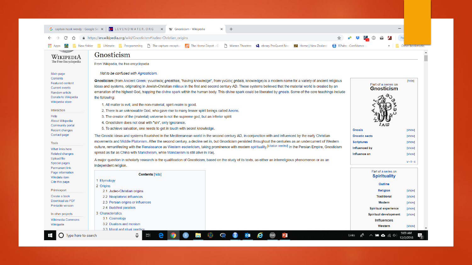|                                                              | G captain hook wendy - Google Sea $\times$ W LEVENDWATER.ORG<br>$+$<br>$\times$<br>W Gnosticism - Wikipedia<br>$\times$                                                                                                                                                                                                       |                                          |                     |
|--------------------------------------------------------------|-------------------------------------------------------------------------------------------------------------------------------------------------------------------------------------------------------------------------------------------------------------------------------------------------------------------------------|------------------------------------------|---------------------|
|                                                              | ▲ https://en.wikipedia.org/wiki/Gnosticism#Judeo-Christian origins                                                                                                                                                                                                                                                            |                                          |                     |
| $\frac{1}{2}$ Apps<br>J.<br>New folder                       | Determinate Deproduct Read The Capture–recapture Company The Home Depot - ○ Product Theatres A ebrary ProQuest Read<br>Home   New Zealand                                                                                                                                                                                     | RPubs - Confidence                       | Other bookmarks     |
| - 05<br>WIKIPEDIA                                            | Gnosticism                                                                                                                                                                                                                                                                                                                    |                                          |                     |
| The Free Encyclopedia                                        | From Wikipedia, the free encyclopedia                                                                                                                                                                                                                                                                                         |                                          |                     |
| Main page                                                    | Not to be confused with Agnosticism.                                                                                                                                                                                                                                                                                          |                                          |                     |
| Contents<br><b>Featured content</b><br><b>Current events</b> | Gnosticism (from Ancient Greek: γνωστικός gnostikos, "having knowledge", from γνῶσις gnōsis, knowledge) is a modern name for a variety of ancient religious<br>ideas and systems, originating in Jewish-Christian milieux in the first and second century AD. These systems believed that the material world is created by an | Part of a series on<br><b>Gnosticism</b> | [hide]              |
| Random article<br>Donate to Wikipedia<br>Wikipedia store     | emanation of the highest God, trapping the divine spark within the human body. This divine spark could be liberated by gnosis. Some of the core teachings include<br>the following:                                                                                                                                           |                                          |                     |
| Interaction                                                  | 1. All matter is evil, and the non-material, spirit-realm is good.<br>2. There is an unknowable God, who gave rise to many lesser spirit beings called Aeons.                                                                                                                                                                 |                                          |                     |
| Help                                                         | 3. The creator of the (material) universe is not the supreme god, but an inferior spirit                                                                                                                                                                                                                                      |                                          |                     |
| About Wikipedia                                              | 4. Gnosticism does not deal with "sin", only ignorance.                                                                                                                                                                                                                                                                       |                                          |                     |
| Community portal<br>Recent changes                           | 5. To achieve salvation, one needs to get in touch with secret knowledge.                                                                                                                                                                                                                                                     | <b>Gnosis</b>                            | [show]              |
| Contact page                                                 | The Gnostic ideas and systems flourished in the Mediterranean world in the second century AD, in conjunction with and influenced by the early Christian                                                                                                                                                                       | <b>Gnostic sects</b>                     | [show]              |
| <b>Tools</b>                                                 | movements and Middle Platonism. After the second century, a decline set in, but Gnosticism persisted throughout the centuries as an undercurrent of Western                                                                                                                                                                   | <b>Scriptures</b>                        | [show]              |
| What links here                                              | culture, remanifesting with the Renaissance as Western esotericism, taking prominence with modern spirituality. <sup>[citation needed]</sup> In the Persian Empire, Gnosticism                                                                                                                                                | <b>Influenced by</b>                     | [show]              |
| <b>Related changes</b>                                       | spread as far as China with Manicheism, while Mandaeism is still alive in Iraq.                                                                                                                                                                                                                                               | Influence on                             | [show]              |
| Upload file<br>Special pages                                 | A major question in scholarly research is the qualification of Gnosticism, based on the study of its texts, as either an interreligious phenomenon or as an<br>independent religion.                                                                                                                                          |                                          | $V \cdot T \cdot E$ |
| <b>Permanent link</b><br>Page information                    | <b>Contents [hide]</b>                                                                                                                                                                                                                                                                                                        | Part of a series on                      |                     |
| Wikidata item<br>Cite this page                              | 1 Etymology                                                                                                                                                                                                                                                                                                                   | <b>Spirituality</b>                      |                     |
|                                                              | 2 Origins                                                                                                                                                                                                                                                                                                                     | Outline                                  |                     |
| Print/export                                                 | 2.1 Judeo-Christian origins                                                                                                                                                                                                                                                                                                   | Religion                                 | [show]              |
| Create a book                                                | 2.2 Neoplatonic influences                                                                                                                                                                                                                                                                                                    | <b>Traditional</b>                       | [show]              |
| Download as PDF<br><b>Printable version</b>                  | 2.3 Persian origins or influences                                                                                                                                                                                                                                                                                             | <b>Modern</b>                            | <b>Showl</b>        |
|                                                              | 2.4 Buddhist parallels                                                                                                                                                                                                                                                                                                        | <b>Spiritual experience</b>              | [show]              |
| In other projects                                            | 3 Characteristics<br>3.1 Cosmology                                                                                                                                                                                                                                                                                            | Spiritual development                    | [show]              |
| <b>Wikimedia Commons</b>                                     | 3.2 Dualism and monism                                                                                                                                                                                                                                                                                                        | <b>Influences</b>                        |                     |
| Wikiquote                                                    | 3.3 Moral and ritual practice                                                                                                                                                                                                                                                                                                 | Western                                  | [show]              |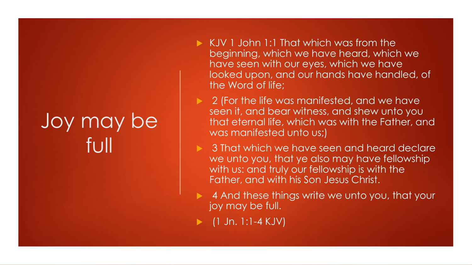## Joy may be full

- KJV 1 John 1:1 That which was from the beginning, which we have heard, which we have seen with our eyes, which we have looked upon, and our hands have handled, of the Word of life;
- ▶ 2 (For the life was manifested, and we have seen it, and bear witness, and shew unto you that eternal life, which was with the Father, and was manifested unto us;)
	- 3 That which we have seen and heard declare we unto you, that ye also may have fellowship with us: and truly our fellowship is with the Father, and with his Son Jesus Christ.
	- 4 And these things write we unto you, that your joy may be full.
	- (1 Jn. 1:1-4 KJV)